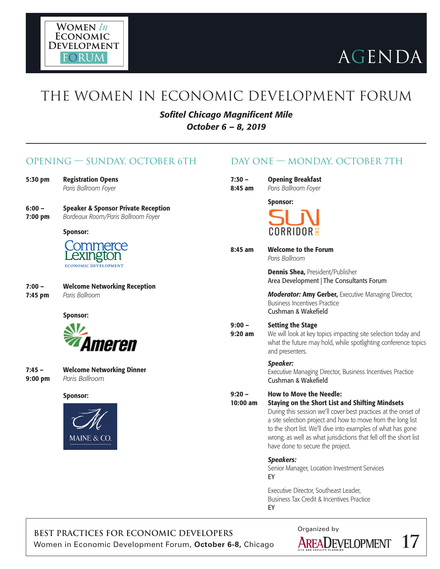

## THE WOMEN IN ECONOMIC DEVELOPMENT FORUM

*Sofitel Chicago Magnificent Mile October 6 – 8, 2019*

### OPENING — SUNDAY, OCTOBER 6TH

- 5:30 pm Registration Opens *Paris Ballroom Foyer*
- 6:00 Speaker & Sponsor Private Reception 7:00 pm *Bordeaux Room/Paris Ballroom Foyer*

#### Sponsor:



- 7:00 Welcome Networking Reception
- 7:45 pm *Paris Ballroom*

Sponsor:



- 7:45 Welcome Networking Dinner
- 9:00 pm *Paris Ballroom*

#### Sponsor:



### DAY ONE — MONDAY, OCTOBER 7TH

| 7:30 –  | <b>Opening Breakfast</b> |
|---------|--------------------------|
| 8:45 am | Paris Ballroom Foyer     |

#### Sponsor:



8:45 am Welcome to the Forum

*Paris Ballroom*

Dennis Shea, President/Publisher Area Development | The Consultants Forum

*Moderator:* Amy Gerber, Executive Managing Director, Business Incentives Practice Cushman & Wakefield

#### 9:00 – Setting the Stage

**9:20 am** We will look at key topics impacting site selection today and what the future may hold, while spotlighting conference topics and presenters.

#### *Speaker:*

Executive Managing Director, Business Incentives Practice Cushman & Wakefield

#### 9:20 – How to Move the Needle:

10:00 am Staying on the Short List and Shifting Mindsets

During this session we'll cover best practices at the onset of a site selection project and how to move from the long list to the short list. We'll dive into examples of what has gone wrong, as well as what jurisdictions that fell off the short list have done to secure the project.

#### *Speakers:*

Senior Manager, Location Investment Services EY

Executive Director, Southeast Leader, Business Tax Credit & Incentives Practice EY

BEST PRACTICES FOR ECONOMIC DEVELOPERS<br>
Women in Economic Development Forum, **October 6-8**, Chicago **AREADEVELOPMENT** Women in Economic Development Forum, **October 6-8,** Chicago **17**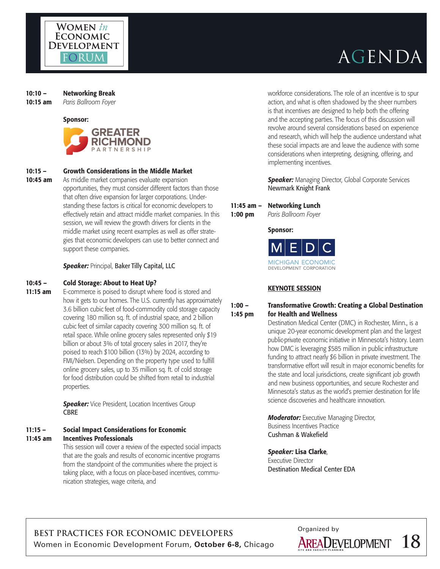

#### 10:10 – Networking Break

10:15 am *Paris Ballroom Foyer*

#### Sponsor:



#### 10:15 – Growth Considerations in the Middle Market

**10:45 am** As middle market companies evaluate expansion opportunities, they must consider different factors than those that often drive expansion for larger corporations. Understanding these factors is critical for economic developers to effectively retain and attract middle market companies. In this session, we will review the growth drivers for clients in the middle market using recent examples as well as offer strategies that economic developers can use to better connect and support these companies.

#### *Speaker:* Principal, Baker Tilly Capital, LLC

#### 10:45 – Cold Storage: About to Heat Up?

**11:15 am** E-commerce is poised to disrupt where food is stored and how it gets to our homes. The U.S. currently has approximately 3.6 billion cubic feet of food-commodity cold storage capacity covering 180 million sq. ft. of industrial space, and 2 billion cubic feet of similar capacity covering 300 million sq. ft. of retail space. While online grocery sales represented only \$19 billion or about 3% of total grocery sales in 2017, they're poised to reach \$100 billion (13%) by 2024, according to FMI/Nielsen. Depending on the property type used to fulfill online grocery sales, up to 35 million sq. ft. of cold storage for food distribution could be shifted from retail to industrial properties.

> **Speaker:** Vice President, Location Incentives Group CBRE

#### 11:15 – Social Impact Considerations for Economic 11:45 am Incentives Professionals

This session will cover a review of the expected social impacts that are the goals and results of economic incentive programs from the standpoint of the communities where the project is taking place, with a focus on place-based incentives, communication strategies, wage criteria, and

workforce considerations. The role of an incentive is to spur action, and what is often shadowed by the sheer numbers is that incentives are designed to help both the offering and the accepting parties. The focus of this discussion will revolve around several considerations based on experience and research, which will help the audience understand what these social impacts are and leave the audience with some considerations when interpreting, designing, offering, and implementing incentives.

*Speaker:* Managing Director, Global Corporate Services Newmark Knight Frank

#### 11:45 am – Networking Lunch

1:00 pm *Paris Ballroom Foyer*

#### Sponsor:



#### KEYNOTE SESSION

#### 1:00 – Transformative Growth: Creating a Global Destination 1:45 pm for Health and Wellness

Destination Medical Center (DMC) in Rochester, Minn., is a unique 20-year economic development plan and the largest public-private economic initiative in Minnesota's history. Learn how DMC is leveraging \$585 million in public infrastructure funding to attract nearly \$6 billion in private investment. The transformative effort will result in major economic benefits for the state and local jurisdictions, create significant job growth and new business opportunities, and secure Rochester and Minnesota's status as the world's premier destination for life science discoveries and healthcare innovation.

*Moderator:* Executive Managing Director, Business Incentives Practice Cushman & Wakefield

#### *Speaker:* Lisa Clarke,

Executive Director Destination Medical Center EDA

BEST PRACTICES FOR ECONOMIC DEVELOPERS<br>Women in Economic Development Forum, October 6-8, Chicago **AREADEVELOPMENT** Women in Economic Development Forum, October 6-8, Chicago **AREADEVELOPMENT** 18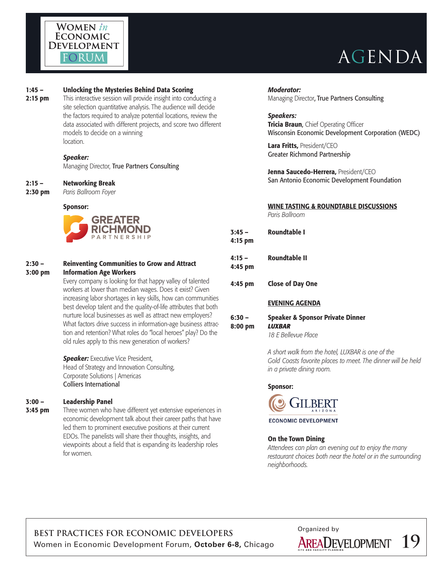

#### 1:45 – Unlocking the Mysteries Behind Data Scoring

**2:15 pm** This interactive session will provide insight into conducting a site selection quantitative analysis. The audience will decide the factors required to analyze potential locations, review the data associated with different projects, and score two different models to decide on a winning location.

#### *Speaker:*

Managing Director, True Partners Consulting

#### 2:15 – Networking Break

2:30 pm *Paris Ballroom Foyer*

#### Sponsor:



#### 2:30 – Reinventing Communities to Grow and Attract 3:00 pm Information Age Workers

Every company is looking for that happy valley of talented workers at lower than median wages. Does it exist? Given increasing labor shortages in key skills, how can communities best develop talent and the quality-of-life attributes that both nurture local businesses as well as attract new employers? What factors drive success in information-age business attraction and retention? What roles do "local heroes" play? Do the old rules apply to this new generation of workers?

**Speaker:** Executive Vice President, Head of Strategy and Innovation Consulting, Corporate Solutions | Americas Colliers International

#### 3:00 – Leadership Panel

**3:45 pm** Three women who have different yet extensive experiences in economic development talk about their career paths that have led them to prominent executive positions at their current EDOs. The panelists will share their thoughts, insights, and viewpoints about a field that is expanding its leadership roles for women.

### *Moderator:*

Managing Director, True Partners Consulting

#### *Speakers:*

**Tricia Braun, Chief Operating Officer** Wisconsin Economic Development Corporation (WEDC)

Lara Fritts, President/CEO Greater Richmond Partnership

Jenna Saucedo-Herrera, President/CEO San Antonio Economic Development Foundation

#### WINE TASTING & ROUNDTABLE DISCUSSIONS

*Paris Ballroom*

| 3:45 –<br>4:15 pm | Roundtable I  |
|-------------------|---------------|
| 4:15 –<br>4:45 pm | Roundtable II |

4:45 pm Close of Day One

#### EVENING AGENDA

#### 6:30 – Speaker & Sponsor Private Dinner 8:00 pm *LUXBAR 18 E Bellevue Place*

*A short walk from the hotel, LUXBAR is one of the Gold Coasts favorite places to meet. The dinner will be held in a private dining room.* 

#### Sponsor:



**ECONOMIC DEVELOPMENT** 

#### On the Town Dining

*Attendees can plan an evening out to enjoy the many restaurant choices both near the hotel or in the surrounding neighborhoods.* 

BEST PRACTICES FOR ECONOMIC DEVELOPERS<br>
Women in Economic Development Forum, **October 6-8,** Chicago **AREADEVELOPMENT** Women in Economic Development Forum, October 6-8, Chicago **AREADEVELOPMENT** 19